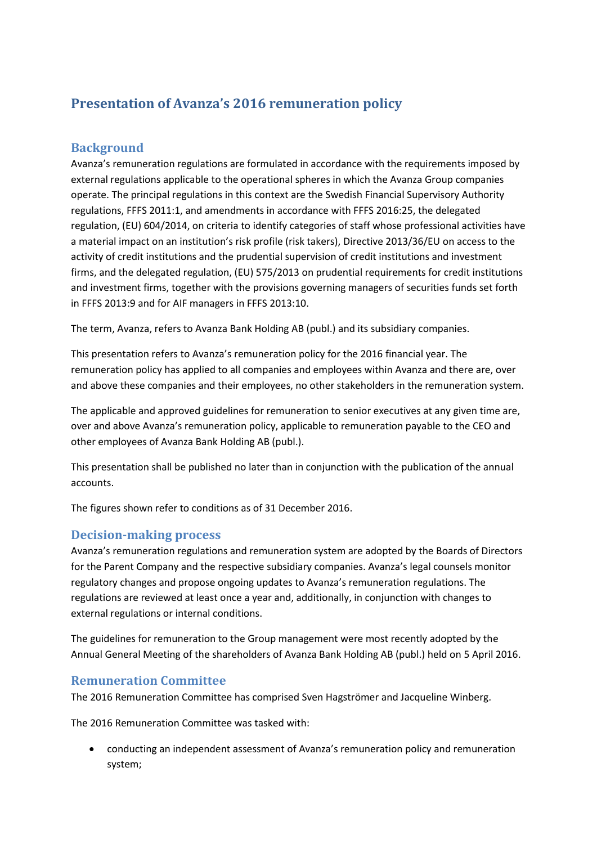# **Presentation of Avanza's 2016 remuneration policy**

## **Background**

Avanza's remuneration regulations are formulated in accordance with the requirements imposed by external regulations applicable to the operational spheres in which the Avanza Group companies operate. The principal regulations in this context are the Swedish Financial Supervisory Authority regulations, FFFS 2011:1, and amendments in accordance with FFFS 2016:25, the delegated regulation, (EU) 604/2014, on criteria to identify categories of staff whose professional activities have a material impact on an institution's risk profile (risk takers), Directive 2013/36/EU on access to the activity of credit institutions and the prudential supervision of credit institutions and investment firms, and the delegated regulation, (EU) 575/2013 on prudential requirements for credit institutions and investment firms, together with the provisions governing managers of securities funds set forth in FFFS 2013:9 and for AIF managers in FFFS 2013:10.

The term, Avanza, refers to Avanza Bank Holding AB (publ.) and its subsidiary companies.

This presentation refers to Avanza's remuneration policy for the 2016 financial year. The remuneration policy has applied to all companies and employees within Avanza and there are, over and above these companies and their employees, no other stakeholders in the remuneration system.

The applicable and approved guidelines for remuneration to senior executives at any given time are, over and above Avanza's remuneration policy, applicable to remuneration payable to the CEO and other employees of Avanza Bank Holding AB (publ.).

This presentation shall be published no later than in conjunction with the publication of the annual accounts.

The figures shown refer to conditions as of 31 December 2016.

#### **Decision-making process**

Avanza's remuneration regulations and remuneration system are adopted by the Boards of Directors for the Parent Company and the respective subsidiary companies. Avanza's legal counsels monitor regulatory changes and propose ongoing updates to Avanza's remuneration regulations. The regulations are reviewed at least once a year and, additionally, in conjunction with changes to external regulations or internal conditions.

The guidelines for remuneration to the Group management were most recently adopted by the Annual General Meeting of the shareholders of Avanza Bank Holding AB (publ.) held on 5 April 2016.

#### **Remuneration Committee**

The 2016 Remuneration Committee has comprised Sven Hagströmer and Jacqueline Winberg.

The 2016 Remuneration Committee was tasked with:

 conducting an independent assessment of Avanza's remuneration policy and remuneration system;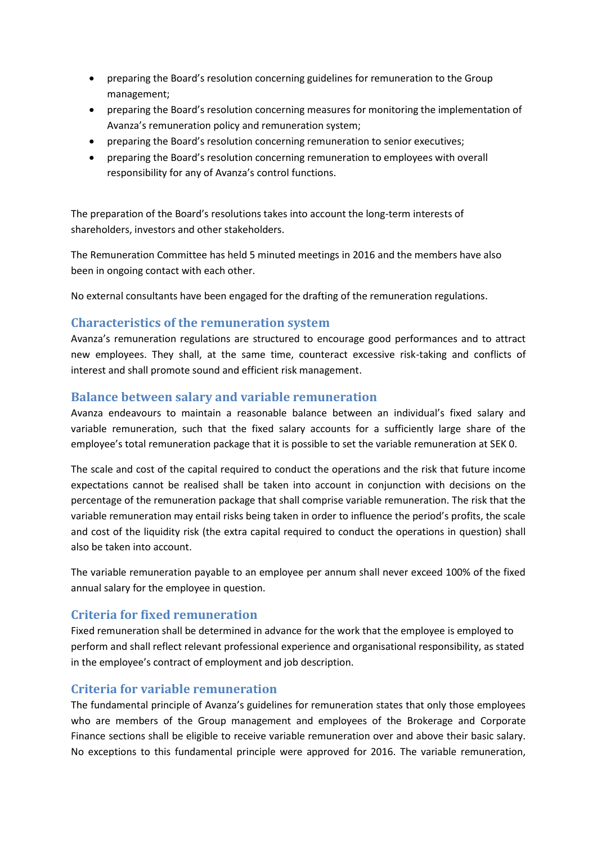- preparing the Board's resolution concerning guidelines for remuneration to the Group management;
- preparing the Board's resolution concerning measures for monitoring the implementation of Avanza's remuneration policy and remuneration system;
- preparing the Board's resolution concerning remuneration to senior executives;
- preparing the Board's resolution concerning remuneration to employees with overall responsibility for any of Avanza's control functions.

The preparation of the Board's resolutions takes into account the long-term interests of shareholders, investors and other stakeholders.

The Remuneration Committee has held 5 minuted meetings in 2016 and the members have also been in ongoing contact with each other.

No external consultants have been engaged for the drafting of the remuneration regulations.

### **Characteristics of the remuneration system**

Avanza's remuneration regulations are structured to encourage good performances and to attract new employees. They shall, at the same time, counteract excessive risk-taking and conflicts of interest and shall promote sound and efficient risk management.

#### **Balance between salary and variable remuneration**

Avanza endeavours to maintain a reasonable balance between an individual's fixed salary and variable remuneration, such that the fixed salary accounts for a sufficiently large share of the employee's total remuneration package that it is possible to set the variable remuneration at SEK 0.

The scale and cost of the capital required to conduct the operations and the risk that future income expectations cannot be realised shall be taken into account in conjunction with decisions on the percentage of the remuneration package that shall comprise variable remuneration. The risk that the variable remuneration may entail risks being taken in order to influence the period's profits, the scale and cost of the liquidity risk (the extra capital required to conduct the operations in question) shall also be taken into account.

The variable remuneration payable to an employee per annum shall never exceed 100% of the fixed annual salary for the employee in question.

#### **Criteria for fixed remuneration**

Fixed remuneration shall be determined in advance for the work that the employee is employed to perform and shall reflect relevant professional experience and organisational responsibility, as stated in the employee's contract of employment and job description.

#### **Criteria for variable remuneration**

The fundamental principle of Avanza's guidelines for remuneration states that only those employees who are members of the Group management and employees of the Brokerage and Corporate Finance sections shall be eligible to receive variable remuneration over and above their basic salary. No exceptions to this fundamental principle were approved for 2016. The variable remuneration,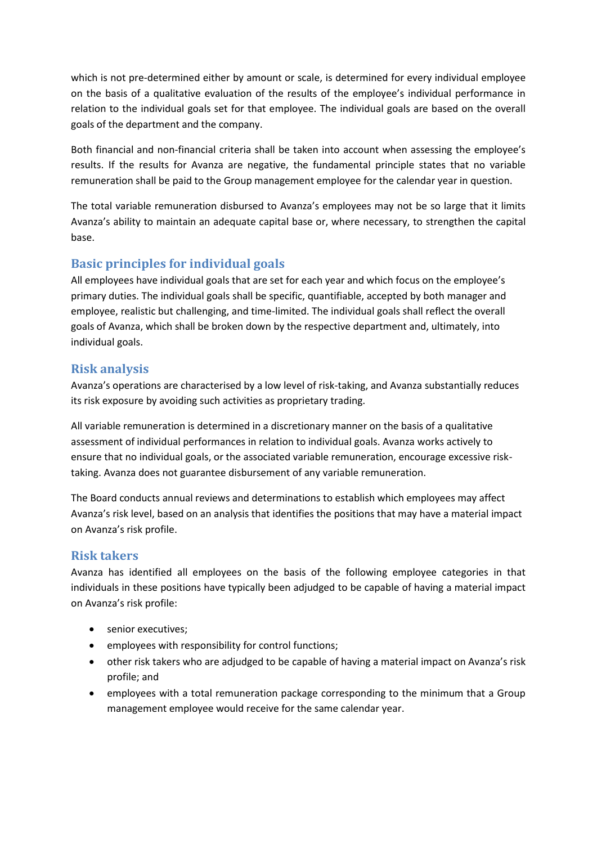which is not pre-determined either by amount or scale, is determined for every individual employee on the basis of a qualitative evaluation of the results of the employee's individual performance in relation to the individual goals set for that employee. The individual goals are based on the overall goals of the department and the company.

Both financial and non-financial criteria shall be taken into account when assessing the employee's results. If the results for Avanza are negative, the fundamental principle states that no variable remuneration shall be paid to the Group management employee for the calendar year in question.

The total variable remuneration disbursed to Avanza's employees may not be so large that it limits Avanza's ability to maintain an adequate capital base or, where necessary, to strengthen the capital base.

# **Basic principles for individual goals**

All employees have individual goals that are set for each year and which focus on the employee's primary duties. The individual goals shall be specific, quantifiable, accepted by both manager and employee, realistic but challenging, and time-limited. The individual goals shall reflect the overall goals of Avanza, which shall be broken down by the respective department and, ultimately, into individual goals.

# **Risk analysis**

Avanza's operations are characterised by a low level of risk-taking, and Avanza substantially reduces its risk exposure by avoiding such activities as proprietary trading.

All variable remuneration is determined in a discretionary manner on the basis of a qualitative assessment of individual performances in relation to individual goals. Avanza works actively to ensure that no individual goals, or the associated variable remuneration, encourage excessive risktaking. Avanza does not guarantee disbursement of any variable remuneration.

The Board conducts annual reviews and determinations to establish which employees may affect Avanza's risk level, based on an analysis that identifies the positions that may have a material impact on Avanza's risk profile.

#### **Risk takers**

Avanza has identified all employees on the basis of the following employee categories in that individuals in these positions have typically been adjudged to be capable of having a material impact on Avanza's risk profile:

- senior executives;
- employees with responsibility for control functions;
- other risk takers who are adjudged to be capable of having a material impact on Avanza's risk profile; and
- employees with a total remuneration package corresponding to the minimum that a Group management employee would receive for the same calendar year.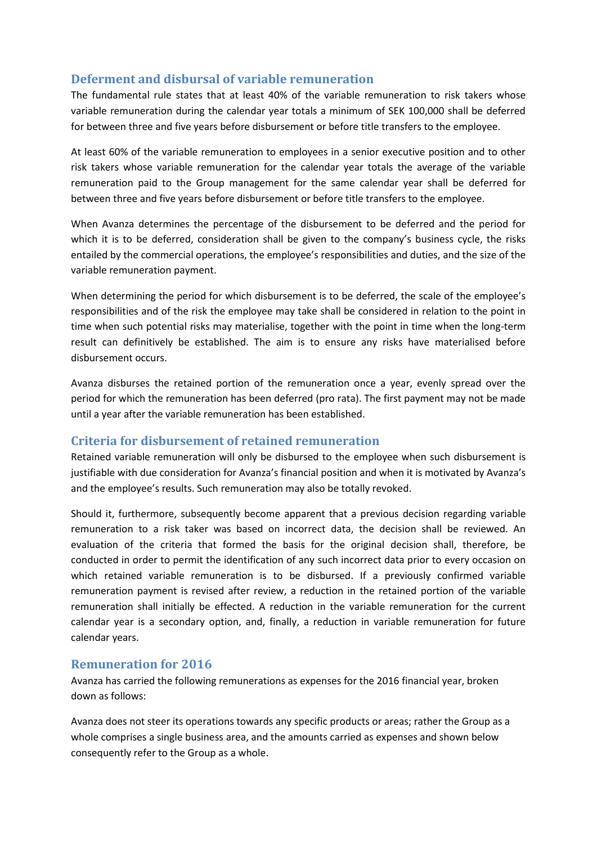## **Deferment and disbursal of variable remuneration**

The fundamental rule states that at least 40% of the variable remuneration to risk takers whose variable remuneration during the calendar year totals a minimum of SEK 100,000 shall be deferred for between three and five years before disbursement or before title transfers to the employee.

At least 60% of the variable remuneration to employees in a senior executive position and to other risk takers whose variable remuneration for the calendar year totals the average of the variable remuneration paid to the Group management for the same calendar year shall be deferred for between three and five years before disbursement or before title transfers to the employee.

When Avanza determines the percentage of the disbursement to be deferred and the period for which it is to be deferred, consideration shall be given to the company's business cycle, the risks entailed by the commercial operations, the employee's responsibilities and duties, and the size of the variable remuneration payment.

When determining the period for which disbursement is to be deferred, the scale of the employee's responsibilities and of the risk the employee may take shall be considered in relation to the point in time when such potential risks may materialise, together with the point in time when the long-term result can definitively be established. The aim is to ensure any risks have materialised before disbursement occurs.

Avanza disburses the retained portion of the remuneration once a year, evenly spread over the period for which the remuneration has been deferred (pro rata). The first payment may not be made until a year after the variable remuneration has been established.

#### **Criteria for disbursement of retained remuneration**

Retained variable remuneration will only be disbursed to the employee when such disbursement is justifiable with due consideration for Avanza's financial position and when it is motivated by Avanza's and the employee's results. Such remuneration may also be totally revoked.

Should it, furthermore, subsequently become apparent that a previous decision regarding variable remuneration to a risk taker was based on incorrect data, the decision shall be reviewed. An evaluation of the criteria that formed the basis for the original decision shall, therefore, be conducted in order to permit the identification of any such incorrect data prior to every occasion on which retained variable remuneration is to be disbursed. If a previously confirmed variable remuneration payment is revised after review, a reduction in the retained portion of the variable remuneration shall initially be effected. A reduction in the variable remuneration for the current calendar year is a secondary option, and, finally, a reduction in variable remuneration for future calendar years.

#### **Remuneration for 2016**

Avanza has carried the following remunerations as expenses for the 2016 financial year, broken down as follows:

Avanza does not steer its operations towards any specific products or areas; rather the Group as a whole comprises a single business area, and the amounts carried as expenses and shown below consequently refer to the Group as a whole.